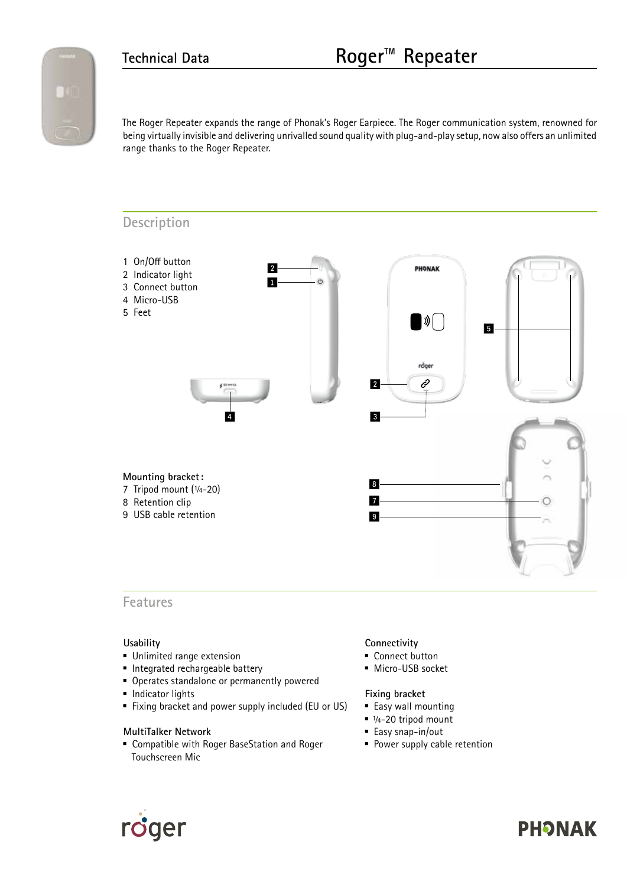

The Roger Repeater expands the range of Phonak's Roger Earpiece. The Roger communication system, renowned for being virtually invisible and delivering unrivalled sound quality with plug-and-play setup, now also offers an unlimited range thanks to the Roger Repeater.

#### **Description**



**Features**

#### **Usability**

- **Unlimited range extension**
- **Integrated rechargeable battery**
- **Operates standalone or permanently powered**
- **Indicator lights**
- Fixing bracket and power supply included (EU or US)

#### **MultiTalker Network**

 Compatible with Roger BaseStation and Roger Touchscreen Mic

#### **Connectivity**

- Connect button
- **Micro-USB socket**

#### **Fixing bracket**

- Easy wall mounting
- $1/4-20$  tripod mount
- Easy snap-in/out
- **Power supply cable retention**



# **PHONAK**